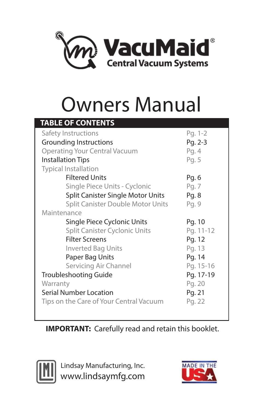

# Owners Manual

| <b>TABLE OF CONTENTS</b>                 |           |  |  |  |  |
|------------------------------------------|-----------|--|--|--|--|
| Safety Instructions                      | Pg. 1-2   |  |  |  |  |
| <b>Grounding Instructions</b>            | Pg. 2-3   |  |  |  |  |
| <b>Operating Your Central Vacuum</b>     | Pg. 4     |  |  |  |  |
| <b>Installation Tips</b>                 | Pg. 5     |  |  |  |  |
| <b>Typical Installation</b>              |           |  |  |  |  |
| <b>Filtered Units</b>                    | Pg. 6     |  |  |  |  |
| Single Piece Units - Cyclonic            | Pg. 7     |  |  |  |  |
| <b>Split Canister Single Motor Units</b> | Pg. 8     |  |  |  |  |
| <b>Split Canister Double Motor Units</b> | Pg. 9     |  |  |  |  |
| Maintenance                              |           |  |  |  |  |
|                                          |           |  |  |  |  |
| Single Piece Cyclonic Units              | Pg. 10    |  |  |  |  |
| <b>Split Canister Cyclonic Units</b>     | Pg. 11-12 |  |  |  |  |
| <b>Filter Screens</b>                    | Pg. 12    |  |  |  |  |
| <b>Inverted Bag Units</b>                | Pg. 13    |  |  |  |  |
| Paper Bag Units                          | Pg. 14    |  |  |  |  |
| Servicing Air Channel                    | Pg. 15-16 |  |  |  |  |
| <b>Troubleshooting Guide</b>             | Pg. 17-19 |  |  |  |  |
| Warranty                                 | Pg. 20    |  |  |  |  |
| <b>Serial Number Location</b>            | Pg. 21    |  |  |  |  |
| Tips on the Care of Your Central Vacuum  | Pg. 22    |  |  |  |  |

**IMPORTANT:** Carefully read and retain this booklet.



Lindsay Manufacturing, Inc. www.lindsaymfg.com

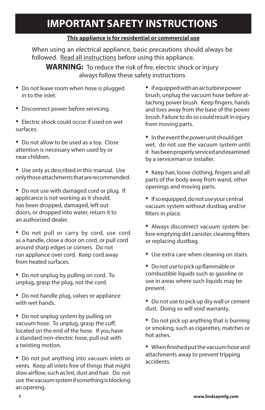## **IMPORTANT SAFETY INSTRUCTIONS**

#### **This appliance is for residential or commercial use**

When using an electrical appliance, basic precautions should always be followed. Read all instructions before using this appliance.

**WARNING:** To reduce the risk of fire, electric shock or injury always follow these safety instructions

- Do not leave room when hose is plugged in to the inlet.
- Disconnect power before servicing.
- • Electric shock could occur if used on wet surfaces.
- Do not allow to be used as a toy. Close attention is necessary when used by or near children.
- Use only as described in this manual. Use only those attachments that are recommended.
- Do not use with damaged cord or plug. If applicance is not working as it should, has been dropped, damaged, left out doors, or dropped into water, return it to an authorized dealer.
- Do not pull or carry by cord, use cord as a handle, close a door on cord, or pull cord around sharp edges or corners. Do not run appliance over cord. Keep cord away from heated surfaces.
- Do not unplug by pulling on cord. To unplug, grasp the plug, not the cord.
- Do not handle plug, valves or appliance with wet hands.
- Do not unplug system by pulling on vacuum hose. To unplug, grasp the cuff, located on the end of the hose. If you have a standard non-electric hose, pull out with a twisting motion.
- Do not put anything into vacuum inlets or vents. Keep all inlets free of things that might slow airflow, such as lint, dust and hair. Do not use the vacuum system if something is blocking an opening.

• If equipped with an air turbine power brush, unplug the vacuum hose before attaching power brush. Keep fingers, hands and toes away from the base of the power brush. Failure to do so could result in injury from moving parts.

- In the event the power unit should get wet, do not use the vacuum system until it has been properly serviced and examined by a serviceman or installer.
- • Keep hair, loose clothing, fingers and all parts of the body away from wand, other openings and moving parts.
- If so equipped, do not use your central vacuum system without dustbag and/or filters in place.
- Always disconnect vacuum system before emptying dirt canister, cleaning filters or replacing dustbag.
- Use extra care when cleaning on stairs.
- • Do not use to pick up flammable or combustible liquids such as gasoline or use in areas where such liquids may be present.
- Do not use to pick up dry wall or cement dust. Doing so will void warranty.
- Do not pick up anything that is burning or smoking, such as cigarettes, matches or hot ashes.
- • When finished put the vacuum hose and attachments away to prevent tripping accidents.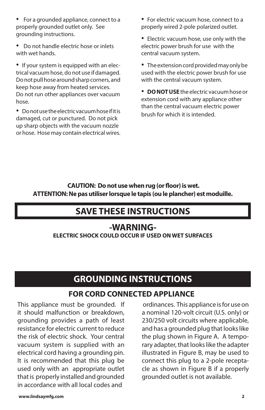- • For a grounded appliance, connect to a properly grounded outlet only. See grounding instructions.
- Do not handle electric hose or inlets with wet hands.
- If your system is equipped with an electrical vacuum hose, do not use if damaged. Do not pull hose around sharp corners, and keep hose away from heated services. Do not run other appliances over vacuum hose.

• Do not use the electric vacuum hose if it is damaged, cut or punctured. Do not pick up sharp objects with the vacuum nozzle or hose. Hose may contain electrical wires.

- For electric vacuum hose, connect to a properly wired 2-pole polarized outlet.
- Electric vacuum hose, use only with the electric power brush for use with the central vacuum system.
- The extension cord provided may only be used with the electric power brush for use with the central vacuum system.

• **DO NOT USE** the electric vacuum hose or extension cord with any appliance other than the central vacuum electric power brush for which it is intended.

 **CAUTION: Do not use when rug (or floor) is wet. ATTENTION: Ne pas utiliser lorsque le tapis (ou le plancher) est moduille.**

## **SAVE THESE INSTRUCTIONS**

## **-WARNING-**

**ELECTRIC SHOCK COULD OCCUR IF USED ON WET SURFACES**

## **GROUNDING INSTRUCTIONS**

## **FOR CORD CONNECTED APPLIANCE**

This appliance must be grounded. If it should malfunction or breakdown, grounding provides a path of least resistance for electric current to reduce the risk of electric shock. Your central vacuum system is supplied with an electrical cord having a grounding pin. It is recommended that this plug be used only with an appropriate outlet that is properly installed and grounded in accordance with all local codes and

 ordinances. This appliance is for use on a nominal 120-volt circuit (U.S. only) or 230/250 volt circuits where applicable, and has a grounded plug that looks like the plug shown in Figure A. A temporary adapter, that looks like the adapter illustrated in Figure B, may be used to connect this plug to a 2-pole receptacle as shown in Figure B if a properly grounded outlet is not available.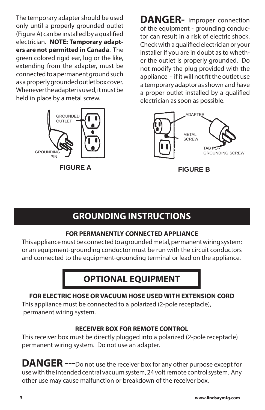The temporary adapter should be used only until a properly grounded outlet (Figure A) can be installed by a qualified electrician. **NOTE: Temporary adapters are not permitted in Canada**. The green colored rigid ear, lug or the like, extending from the adapter, must be connected to a permanent ground such as a properly grounded outlet box cover. Whenever the adapter is used, it must be held in place by a metal screw.



 **FIGURE A FIGURE B**

**DANGER-** Improper connection of the equipment - grounding conductor can result in a risk of electric shock. Check with a qualified electrician or your installer if you are in doubt as to whether the outlet is properly grounded. Do not modify the plug provided with the appliance - if it will not fit the outlet use a temporary adaptor as shown and have a proper outlet installed by a qualified electrician as soon as possible.



## **GROUNDING INSTRUCTIONS**

## **FOR PERMANENTLY CONNECTED APPLIANCE**

This appliance must be connected to a grounded metal, permanent wiring system; or an equipment-grounding conductor must be run with the circuit conductors and connected to the equipment-grounding terminal or lead on the appliance.

## **OPTIONAL EQUIPMENT**

## **FOR ELECTRIC HOSE OR VACUUM HOSE USED WITH EXTENSION CORD**

This appliance must be connected to a polarized (2-pole receptacle), permanent wiring system.

## **RECEIVER BOX FOR REMOTE CONTROL**

This receiver box must be directly plugged into a polarized (2-pole receptacle) permanent wiring system. Do not use an adapter.

**DANGER ---**Do not use the receiver box for any other purpose except for use with the intended central vacuum system, 24 volt remote control system. Any other use may cause malfunction or breakdown of the receiver box.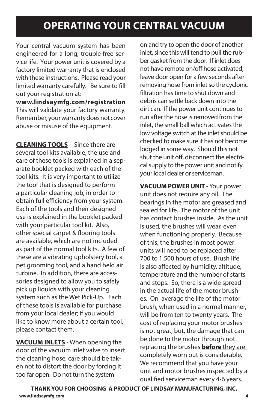## **OPERATING YOUR CENTRAL VACUUM**

Your central vacuum system has been engineered for a long, trouble-free service life. Your power unit is covered by a factory limited warranty that is enclosed with these instructions. Please read your limited warranty carefully. Be sure to fill out your registration at:

**www.lindsaymfg.com/registration** This will validate your factory warranty. Remember, your warranty does not cover abuse or misuse of the equipment.

**CLEANING TOOLS** - Since there are several tool kits available, the use and care of these tools is explained in a separate booklet packed with each of the tool kits. It is very important to utilize the tool that is designed to perform a particular cleaning job, in order to obtain full efficiency from your system. Each of the tools and their designed use is explained in the booklet packed with your particular tool kit. Also, other special carpet & flooring tools are available, which are not included as part of the normal tool kits. A few of these are a vibrating upholstery tool, a pet grooming tool, and a hand held air turbine. In addition, there are accessories designed to allow you to safely pick up liquids with your cleaning system such as the Wet Pick-Up. Each of these tools is available for purchase from your local dealer; if you would like to know more about a certain tool, please contact them.

**VACUUM INLETS** - When opening the door of the vacuum inlet valve to insert the cleaning hose, care should be taken not to distort the door by forcing it too far open. Do not turn the system

on and try to open the door of another inlet, since this will tend to pull the rubber gasket from the door. If inlet does not have remote on/off hose activated, leave door open for a few seconds after removing hose from inlet so the cyclonic filtration has time to shut down and debris can settle back down into the dirt can. If the power unit continues to run after the hose is removed from the inlet, the small ball which activates the low voltage switch at the inlet should be checked to make sure it has not become lodged in some way. Should this not shut the unit off, disconnect the electrical supply to the power unit and notify your local dealer or serviceman.

**VACUUM POWER UNIT** - Your power unit does not require any oil. The bearings in the motor are greased and sealed for life. The motor of the unit has contact brushes inside. As the unit is used, the brushes will wear, even when functioning properly. Because of this, the brushes in most power units will need to be replaced after 700 to 1,500 hours of use. Brush life is also affected by humidity, altitude, temperature and the number of starts and stops. So, there is a wide spread in the actual life of the motor brushes. On average the life of the motor brush, when used in a normal manner, will be from ten to twenty years. The cost of replacing your motor brushes is not great; but, the damage that can be done to the motor through not replacing the brushes **before** they are completely worn out is considerable. We recommend that you have your unit and motor brushes inspected by a qualified serviceman every 4-6 years.

**THANK YOU FOR CHOOSING A PRODUCT OF LINDSAY MANUFACTURING, INC. www.lindsaymfg.com 4**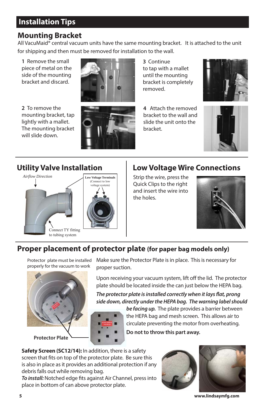## **Installation Tips**

## **Mounting Bracket**

All VacuMaid® central vacuum units have the same mounting bracket. It is attached to the unit for shipping and then must be removed for installation to the wall.

**1** Remove the small piece of metal on the side of the mounting bracket and discard.

**2** To remove the mounting bracket, tap lightly with a mallet. The mounting bracket will slide down.



**3** Continue to tap with a mallet until the mounting bracket is completely removed.

**4** Attach the removed bracket to the wall and slide the unit onto the bracket.





## **Utility Valve Installation**



## **Low Voltage Wire Connections**

**Strip the wire, press the** Quick Clips to the right and insert the wire into the holes.



## Proper placement of protector plate (for paper bag models only)

*Airflow Direction* properly for the vacuum to work Protector plate must be installed



<sup>ork</sup> proper suction. *Airflow Direction* Make sure the Protector Plate is in place. This is necessary for

Upon receiving your vacuum system, lift off the lid. The protector plate should be located inside the can just below the HEPA bag.

*The protector plate is installed correctly when it lays flat, prong side down, directly under the HEPA bag. The warning label should* 

> circulate preventing the motor from overheating. For information on connecting valves & fittings, *be facing up.* The plate provides a barrier between the HEPA bag and mesh screen. This allows air to **Do not to throw this part away.**

*Airflow Direction Airflow Direction* screen that fits on top of the protector plate. Be sure this **Low World Connect Connect Protector** process and the set of any is also in place as it provides an additional protection if any debris falls out while removing bag. **Safety Screen (SC12/14):** In addition, there is a safety

*To install:* Notched edge fits against Air Channel, press into place in bottom of can above protector plate.



**5 www.lindsaymfg.com**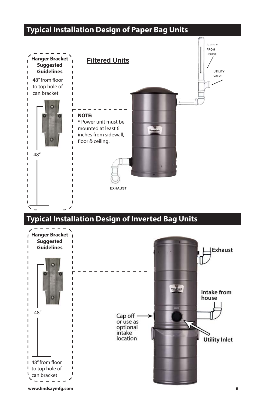## **Typical Installation Design of Paper Bag Units**

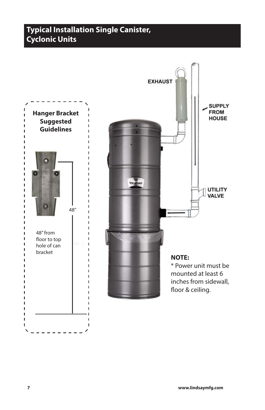## **Typical Installation Single Canister, Cyclonic Units**

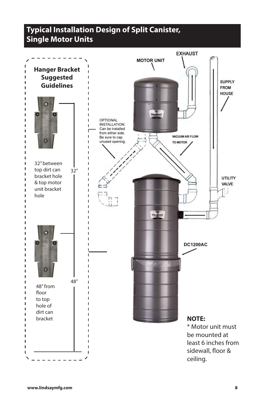## **Typical Installation Design of Split Canister, Single Motor Units**

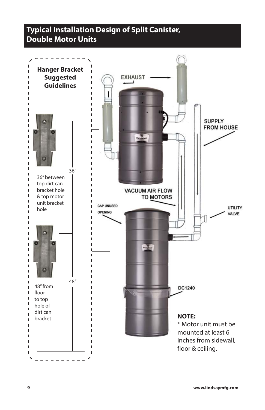## **Typical Installation Design of Split Canister, Double Motor Units**

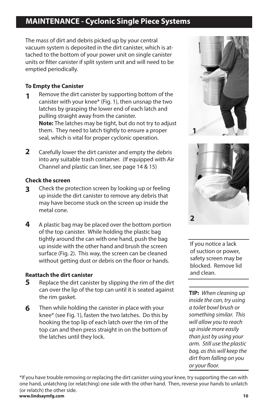## **MAINTENANCE - Cyclonic Single Piece Systems**

The mass of dirt and debris picked up by your central vacuum system is deposited in the dirt canister, which is attached to the bottom of your power unit on single canister units or filter canister if split system unit and will need to be emptied periodically.

#### **To Empty the Canister**

- Remove the dirt canister by supporting bottom of the canister with your knee\* (Fig. 1), then unsnap the two latches by grasping the lower end of each latch and pulling straight away from the canister. **Note:** The latches may be tight, but do not try to adjust them. They need to latch tightly to ensure a proper seal, which is vital for proper cyclonic operation. **1**
- Carefully lower the dirt canister and empty the debris into any suitable trash container. (If equipped with Air Channel and plastic can liner, see page 14 & 15) **2**

#### **Check the screen**

- Check the protection screen by looking up or feeling up inside the dirt canister to remove any debris that may have become stuck on the screen up inside the metal cone. **3**
- A plastic bag may be placed over the bottom portion of the top canister. While holding the plastic bag tightly around the can with one hand, push the bag up inside with the other hand and brush the screen surface (Fig. 2). This way, the screen can be cleaned without getting dust or debris on the floor or hands. **4**

#### **Reattach the dirt canister**

- Replace the dirt canister by slipping the rim of the dirt can over the lip of the top can until it is seated against the rim gasket. **5**
- Then while holding the canister in place with your knee\* (see Fig. 1), fasten the two latches. Do this by hooking the top lip of each latch over the rim of the top can and then press straight in on the bottom of the latches until they lock. **6**





If you notice a lack of suction or power, safety screen may be blocked. Remove lid and clean.

**TIP:** *When cleaning up inside the can, try using a toilet bowl brush or something similar. This will allow you to reach up inside more easily than just by using your arm. Still use the plastic bag, as this will keep the dirt from falling on you or your floor.* 

\*If you have trouble removing or replacing the dirt canister using your knee, try supporting the can with one hand, unlatching (or relatching) one side with the other hand. Then, reverse your hands to unlatch (or relatch) the other side. **www.lindsaymfg.com 10**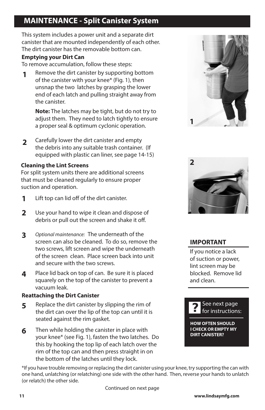## **MAINTENANCE - Split Canister System**

This system includes a power unit and a separate dirt canister that are mounted independently of each other. The dirt canister has the removable bottom can.

#### **Emptying your Dirt Can**

To remove accumulation, follow these steps:

Remove the dirt canister by supporting bottom of the canister with your knee\* (Fig. 1), then unsnap the two latches by grasping the lower end of each latch and pulling straight away from the canister. **1**

**Note:** The latches may be tight, but do not try to adjust them. They need to latch tightly to ensure a proper seal & optimum cyclonic operation.

Carefully lower the dirt canister and empty the debris into any suitable trash container. (If equipped with plastic can liner, see page 14-15) **2**

#### **Cleaning the Lint Screens**

For split system units there are additional screens that must be cleaned regularly to ensure proper suction and operation.

- Lift top can lid off of the dirt canister. **1**
- Use your hand to wipe it clean and dispose of debris or pull out the screen and shake it off. **2**
- *Optional maintenance:* The underneath of the screen can also be cleaned. To do so, remove the two screws, lift screen and wipe the underneath of the screen clean. Place screen back into unit and secure with the two screws. **3**
- Place lid back on top of can. Be sure it is placed squarely on the top of the canister to prevent a vacuum leak. **4**

#### **Reattaching the Dirt Canister**

- Replace the dirt canister by slipping the rim of the dirt can over the lip of the top can until it is seated against the rim gasket. **5**
- Then while holding the canister in place with your knee\* (see Fig. 1), fasten the two latches. Do this by hooking the top lip of each latch over the rim of the top can and then press straight in on the bottom of the latches until they lock. **6**





### **IMPORTANT**

If you notice a lack of suction or power, lint screen may be blocked. Remove lid and clean.



**HOW OFTEN SHOULD I CHECK OR EMPTY MY DIRT CANISTER?**

\*If you have trouble removing or replacing the dirt canister using your knee, try supporting the can with one hand, unlatching (or relatching) one side with the other hand. Then, reverse your hands to unlatch (or relatch) the other side.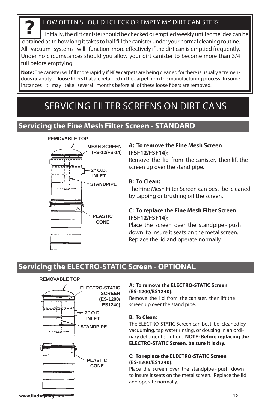#### HOW OFTEN SHOULD I CHECK OR EMPTY MY DIRT CANISTER?

**?** Initially, the dirt canister should be checked or emptied weekly until some idea can be obtained as to how long it takes to half fill the canister under your normal cleaning routine. All vacuum systems will function more effectively if the dirt can is emptied frequently. Under no circumstances should you allow your dirt canister to become more than 3/4 full before emptying.

**Note:** The canister will fill more rapidly if NEW carpets are being cleaned for there is usually a tremendous quantity of loose fibers that are retained in the carpet from the manufacturing process. In some instances it may take several months before all of these loose fibers are removed.

## SERVICING FILTER SCREENS ON DIRT CANS

## **Servicing the Fine Mesh Filter Screen - STANDARD**

#### **REMOVABLE TOP**



#### **A: To remove the Fine Mesh Screen (FSF12/FSF14):**

Remove the lid from the canister, then lift the screen up over the stand pipe.

#### **B: To Clean:**

The Fine Mesh Filter Screen can best be cleaned by tapping or brushing off the screen.

#### **C: To replace the Fine Mesh Filter Screen (FSF12/FSF14):**

Place the screen over the standpipe - push down to insure it seats on the metal screen. Replace the lid and operate normally.

## **Servicing the ELECTRO-STATIC Screen - OPTIONAL**

#### **REMOVABLE TOP**



#### **A: To remove the ELECTRO-STATIC Screen (ES-1200/ES1240):**

Remove the lid from the canister, then lift the screen up over the stand pipe.

#### **B: To Clean:**

The ELECTRO-STATIC Screen can best be cleaned by vacuuming, tap water rinsing, or dousing in an ordinary detergent solution. **NOTE: Before replacing the ELECTRO-STATIC Screen, be sure it is dry.**

#### **C: To replace the ELECTRO-STATIC Screen (ES-1200/ES1240):**

Place the screen over the standpipe - push down to insure it seats on the metal screen. Replace the lid and operate normally.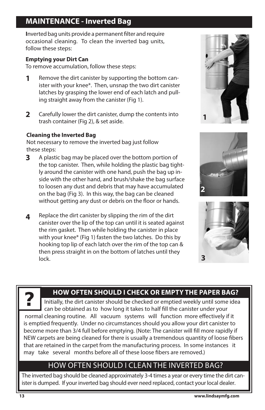## **MAINTENANCE - Inverted Bag**

**I**nverted bag units provide a permanent filter and require occasional cleaning. To clean the inverted bag units, follow these steps:

#### **Emptying your Dirt Can**

To remove accumulation, follow these steps:

- Remove the dirt canister by supporting the bottom canister with your knee\*. Then, unsnap the two dirt canister latches by grasping the lower end of each latch and pulling straight away from the canister (Fig 1). **1**
- Carefully lower the dirt canister, dump the contents into trash container (Fig 2), & set aside. **2**

#### **Cleaning the Inverted Bag**

Not necessary to remove the inverted bag just follow these steps:

- A plastic bag may be placed over the bottom portion of the top canister. Then, while holding the plastic bag tightly around the canister with one hand, push the bag up inside with the other hand, and brush/shake the bag surface to loosen any dust and debris that may have accumulated on the bag (Fig 3). In this way, the bag can be cleaned without getting any dust or debris on the floor or hands. **3**
- Replace the dirt canister by slipping the rim of the dirt canister over the lip of the top can until it is seated against the rim gasket. Then while holding the canister in place with your knee\* (Fig 1) fasten the two latches. Do this by hooking top lip of each latch over the rim of the top can & then press straight in on the bottom of latches until they lock. **4**







**HOW OFTEN SHOULD I CHECK OR EMPTY THE PAPER BAG?**<br>Initially, the dirt canister should be checked or emptied weekly until some idea can be obtained as to how long it takes to half fill the canister under your normal cleaning routine. All vacuum systems will function more effectively if it is emptied frequently. Under no circumstances should you allow your dirt canister to become more than 3/4 full before emptying. (Note: The canister will fill more rapidly if NEW carpets are being cleaned for there is usually a tremendous quantity of loose fibers that are retained in the carpet from the manufacturing process. In some instances it may take several months before all of these loose fibers are removed.)

## HOW OFTEN SHOULD I CLEAN THE INVERTED BAG?

The inverted bag should be cleaned approximately 3-4 times a year or every time the dirt canister is dumped. If your inverted bag should ever need replaced, contact your local dealer.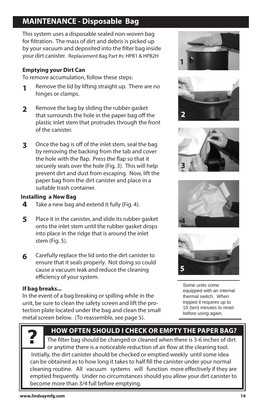## **MAINTENANCE - Disposable Bag**

This system uses a disposable sealed non-woven bag for filtration. The mass of dirt and debris is picked up by your vacuum and deposited into the filter bag inside your dirt canister. Replacement Bag Part #s: HPB1 & HPB2H

#### **Emptying your Dirt Can**

To remove accumulation, follow these steps:

- Remove the lid by lifting straight up. There are no hinges or clamps. **1**
- Remove the bag by sliding the rubber gasket that surrounds the hole in the paper bag off the plastic inlet stem that protrudes through the front of the canister. **2**
- Once the bag is off of the inlet stem, seal the bag by removing the backing from the tab and cover the hole with the flap. Press the flap so that it securely seals over the hole (Fig. 3). This will help prevent dirt and dust from escaping. Now, lift the paper bag from the dirt canister and place in a suitable trash container. **3**

#### **Installing a New Bag**

- Take a new bag and extend it fully (Fig. 4). **4**
- Place it in the canister, and slide its rubber gasket onto the inlet stem until the rubber gasket drops into place in the ridge that is around the inlet stem (Fig. 5). **5**
- Carefully replace the lid onto the dirt canister to ensure that it seals properly. Not doing so could cause a vacuum leak and reduce the cleaning efficiency of your system. **6**

#### **If bag breaks...**

In the event of a bag breaking or spilling while in the unit, be sure to clean the safety screen and lift the protection plate located under the bag and clean the small metal screen below. (To reassemble, see page 5).











Some units come equipped with an internal thermal switch. When tripped it requires up to 10 (ten) minutes to reset before using again.



### **HOW OFTEN SHOULD I CHECK OR EMPTY THE PAPER BAG? ?**

The filter bag should be changed or cleaned when there is 3-6 inches of dirt or anytime there is a noticeable reduction of air flow at the cleaning tool. Initially, the dirt canister should be checked or emptied weekly until some idea can be obtained as to how long it takes to half fill the canister under your normal cleaning routine. All vacuum systems will function more effectively if they are emptied frequently. Under no circumstances should you allow your dirt canister to become more than 3/4 full before emptying.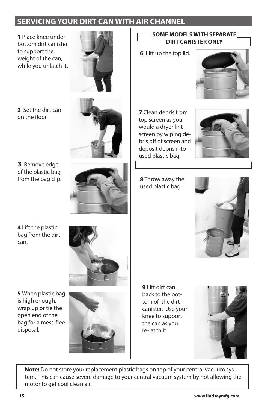## **SERVICING YOUR DIRT CAN WITH AIR CHANNEL**

**1** Place knee under bottom dirt canister to support the weight of the can, while you unlatch it.



**2** Set the dirt can on the floor.



**3** Remove edge of the plastic bag from the bag clip.



#### **SOME MODELS WITH SEPARATE DIRT CANISTER ONLY**

**6** Lift up the top lid.



**7** Clean debris from top screen as you would a dryer lint screen by wiping debris off of screen and deposit debris into used plastic bag.

**8** Throw away the used plastic bag.



**4** Lift the plastic bag from the dirt can.



**5** When plastic bag is high enough, wrap up or tie the open end of the bag for a mess-free disposal.



**9** Lift dirt can back to the bottom of the dirt canister. Use your knee to support the can as you re-latch it.



**Note:** Do not store your replacement plastic bags on top of your central vacuum system. This can cause severe damage to your central vacuum system by not allowing the motor to get cool clean air.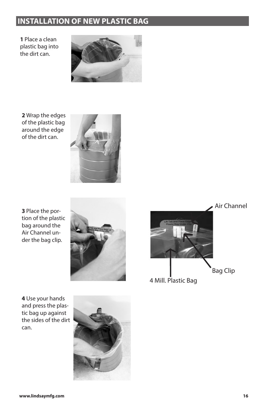## **INSTALLATION OF NEW PLASTIC BAG**

**1** Place a clean plastic bag into the dirt can.



**2** Wrap the edges of the plastic bag around the edge of the dirt can.



**3** Place the portion of the plastic bag around the Air Channel under the bag clip.



**4** Use your hands and press the plastic bag up against the sides of the dirt can.



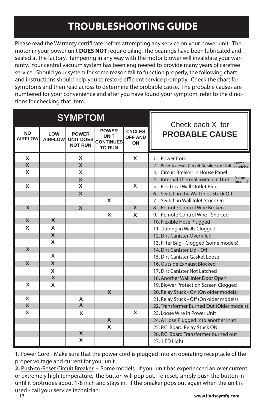## **TROUBLESHOOTING GUIDE**

Please read the Warranty certificate before attempting any service on your power unit. The motor in your power unit **DOES NOT** require oiling. The bearings have been lubricated and sealed at the factory. Tampering in any way with the motor blower will invalidate your warranty. Your central vacuum system has been engineered to provide many years of carefree service. Should your system for some reason fail to function properly, the following chart and instructions should help you to restore efficient service promptly. Check the chart for symptoms and then read across to determine the probable cause. The probable causes are numbered for your convenience and after you have found your symptom, refer to the directions for checking that item.

| <b>SYMPTOM</b>              |                       |                                                    |                                                                  | Check each X for                      |                                                              |
|-----------------------------|-----------------------|----------------------------------------------------|------------------------------------------------------------------|---------------------------------------|--------------------------------------------------------------|
| <b>NO</b><br><b>AIRFLOW</b> | LOW<br><b>AIRFLOW</b> | <b>POWER</b><br><b>UNIT DOES</b><br><b>NOT RUN</b> | <b>POWER</b><br><b>UNIT</b><br><b>CONTINUES</b><br><b>TO RUN</b> | <b>CYCLES</b><br><b>OFF AND</b><br>ON | <b>PROBABLE CAUSE</b>                                        |
| X                           |                       | X                                                  |                                                                  | X                                     | 1. Power Cord                                                |
| X                           |                       | $\mathbf x$                                        |                                                                  |                                       | (some<br>2. Push-to-reset Circuit Breaker on Unit<br>models) |
| X                           |                       | X                                                  |                                                                  |                                       | 3. Circuit Breaker in House Panel                            |
|                             |                       | X                                                  |                                                                  |                                       | (some<br>4. Internal Thermal Switch in Unit<br>models)       |
| X                           |                       | X                                                  |                                                                  | X                                     | 5. Electrical Wall Outlet Plug                               |
|                             |                       | $\overline{\mathbf{x}}$                            |                                                                  |                                       | 6. Switch in the Wall Inlet Stuck Off                        |
|                             |                       |                                                    | X                                                                |                                       | 7. Switch in Wall Inlet Stuck On                             |
| $\boldsymbol{\mathsf{X}}$   |                       | X                                                  |                                                                  | $\mathbf x$                           | 8. Remote Control Wire Broken                                |
|                             |                       |                                                    | X                                                                | X                                     | 9. Remote Control Wire - Shorted                             |
| X                           | X                     |                                                    |                                                                  |                                       | 10. Flexible Hose Plugged                                    |
| X                           | X                     |                                                    |                                                                  |                                       | 11 .Tubing in Walls Clogged                                  |
|                             | X                     |                                                    |                                                                  |                                       | 12. Dirt Canister Overfilled                                 |
|                             | X                     |                                                    |                                                                  |                                       | 13. Filter Bag - Clogged (some models)                       |
| $\boldsymbol{\mathsf{x}}$   |                       |                                                    |                                                                  |                                       | 14. Dirt Canister Lid - Off                                  |
|                             | X                     |                                                    |                                                                  |                                       | 15. Dirt Canister Gasket Loose                               |
| X                           | X                     |                                                    |                                                                  |                                       | 16. Outside Exhaust Blocked                                  |
|                             | X                     |                                                    |                                                                  |                                       | 17. Dirt Canister Not Latched                                |
|                             | X                     |                                                    |                                                                  |                                       | 18. Another Wall Inlet Door Open                             |
| X                           | X                     |                                                    |                                                                  |                                       | 19. Blower Protection Screen Clogged                         |
|                             |                       |                                                    | $\mathsf{x}$                                                     |                                       | 20. Relay Stuck - On (On older models)                       |
| X                           |                       | X                                                  |                                                                  |                                       | 21. Relay Stuck - Off (On older models)                      |
| X                           |                       | X                                                  |                                                                  |                                       | 22. Transformer Burned Out (Older models)                    |
| X                           |                       | X                                                  |                                                                  | X                                     | 23. Loose Wire in Power Unit                                 |
|                             |                       |                                                    | X                                                                |                                       | 24. A Hose Plugged into another Inlet                        |
|                             |                       |                                                    | X                                                                |                                       | 25. P.C. Board Relay Stuck ON                                |
|                             |                       | X                                                  |                                                                  |                                       | 26. P.C. Board Transformer burned out                        |
|                             |                       | X                                                  |                                                                  |                                       | 27. LED Light                                                |

1. Power Cord - Make sure that the power cord is plugged into an operating receptacle of the proper voltage and current for your unit.

**2.** Push-to-Reset Circuit Breaker - Some models. If your unit has experienced an over current or extremely high temperature, the button will pop out. To reset, simply push the button in until it protrudes about 1/8 inch and stays in. If the breaker pops out again when the unit is used - call your service technician.<br>17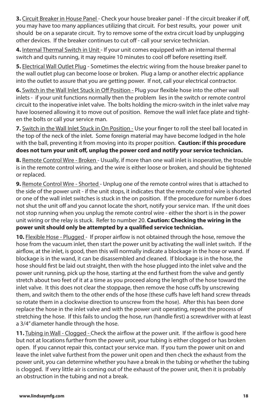**3.** Circuit Breaker in House Panel - Check your house breaker panel - If the circuit breaker if off, you may have too many appliances utilizing that circuit. For best results, your power unit should be on a separate circuit. Try to remove some of the extra circuit load by unplugging other devices. If the breaker continues to cut off - call your service technician.

**4.** Internal Thermal Switch in Unit - If your unit comes equipped with an internal thermal switch and quits running, it may require 10 minutes to cool off before resetting itself.

**5.** Electrical Wall Outlet Plug - Sometimes the electric wiring from the house breaker panel to the wall outlet plug can become loose or broken. Plug a lamp or another electric appliance into the outlet to assure that you are getting power. If not, call your electrical contractor.

**6.** Switch in the Wall Inlet Stuck in Off Position - Plug your flexible hose into the other wall inlets - if your unit functions normally then the problem lies in the switch or remote control circuit to the inoperative inlet valve. The bolts holding the micro-switch in the inlet valve may have loosened allowing it to move out of position. Remove the wall inlet face plate and tighten the bolts or call your service man.

7. Switch in the Wall Inlet Stuck in On Position - Use your finger to roll the steel ball located in the top of the neck of the inlet. Some foreign material may have become lodged in the hole with the ball, preventing it from moving into its proper position. **Caution: if this procedure does not turn your unit off, unplug the power cord and notify your service technician.**

**8.** Remote Control Wire - Broken - Usually, if more than one wall inlet is inoperative, the trouble is in the remote control wiring, and the wire is either loose or broken, and should be tightened or replaced.

**9.** Remote Control Wire - Shorted - Unplug one of the remote control wires that is attached to the side of the power unit - if the unit stops, it indicates that the remote control wire is shorted or one of the wall inlet switches is stuck in the on position. If the procedure for number 6 does not shut the unit off and you cannot locate the short, notify your service man. If the unit does not stop running when you unplug the remote control wire - either the short is in the power unit wiring or the relay is stuck. Refer to number 20. **Caution: Checking the wiring in the power unit should only be attempted by a qualified service technician.**

**10.** Flexible Hose - Plugged - If proper airflow is not obtained through the hose, remove the hose from the vacuum inlet, then start the power unit by activating the wall inlet switch. If the airflow, at the inlet, is good, then this will normally indicate a blockage in the hose or wand. If blockage is in the wand, it can be disassembled and cleaned. If blockage is in the hose, the hose should first be laid out straight, then with the hose plugged into the inlet valve and the power unit running, pick up the hose, starting at the end furthest from the valve and gently stretch about two feet of it at a time as you proceed along the length of the hose toward the inlet valve. It this does not clear the stoppage, then remove the hose cuffs by unscrewing them, and switch them to the other ends of the hose (these cuffs have left hand screw threads so rotate them in a clockwise direction to unscrew from the hose). After this has been done replace the hose in the inlet valve and with the power unit operating, repeat the process of stretching the hose. If this fails to unclog the hose, run (handle first) a screwdriver with at least a 3/4" diameter handle through the hose.

**11.** Tubing in Wall - Clogged - Check the airflow at the power unit. If the airflow is good here but not at locations further from the power unit, your tubing is either clogged or has broken open. If you cannot repair this, contact your service man. If you turn the power unit on and leave the inlet valve furthest from the power unit open and then check the exhaust from the power unit, you can determine whether you have a break in the tubing or whether the tubing is clogged. If very little air is coming out of the exhaust of the power unit, then it is probably an obstruction in the tubing and not a break.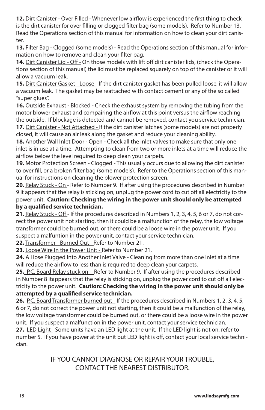**12.** Dirt Canister - Over Filled - Whenever low airflow is experienced the first thing to check is the dirt canister for over filling or clogged filter bag (some models). Refer to Number 13. Read the Operations section of this manual for information on how to clean your dirt canister.

**13.** Filter Bag - Clogged (some models) - Read the Operations section of this manual for information on how to remove and clean your filter bag.

**14.** Dirt Canister Lid - Off - On those models with lift off dirt canister lids, (check the Operations section of this manual) the lid must be replaced squarely on top of the canister or it will allow a vacuum leak.

**15.** Dirt Canister Gasket - Loose - If the dirt canister gasket has been pulled loose, it will allow a vacuum leak. The gasket may be reattached with contact cement or any of the so called "super glues".

**16.** Outside Exhaust - Blocked - Check the exhaust system by removing the tubing from the motor blower exhaust and compairing the airflow at this point versus the airflow reaching the outside. If blockage is detected and cannot be removed, contact you service technician. **17.** Dirt Canister - Not Attached - If the dirt canister latches (some models) are not properly closed, it will cause an air leak along the gasket and reduce your cleaning ability.

**18.** Another Wall Inlet Door - Open - Check all the inlet valves to make sure that only one inlet is in use at a time. Attempting to clean from two or more inlets at a time will reduce the airflow below the level required to deep clean your carpets.

**19.** Motor Protection Screen - Clogged - This usually occurs due to allowing the dirt canister to over fill, or a broken filter bag (some models). Refer to the Operations section of this manual for instructions on cleaning the blower protection screen.

**20.** Relay Stuck - On - Refer to Number 9. If after using the procedures described in Number 9 it appears that the relay is sticking on, unplug the power cord to cut off all electricity to the power unit. **Caution: Checking the wiring in the power unit should only be attempted by a qualified service technician.**

**21.** Relay Stuck - Off - If the procedures described in Numbers 1, 2, 3, 4, 5, 6 or 7, do not correct the power unit not starting, then it could be a malfunction of the relay, the low voltage transformer could be burned out, or there could be a loose wire in the power unit. If you suspect a malfuntion in the power unit, contact your service technician.

**22.** Transformer - Burned Out - Refer to Number 21.

**23.** Loose Wire In the Power Unit - Refer to Number 21.

**24.** A Hose Plugged Into Another Inlet Valve - Cleaning from more than one inlet at a time will reduce the airflow to less than is required to deep clean your carpets.

**25.** P.C. Board Relay stuck on - Refer to Number 9. If after using the procedures described in Number 8 itappears that the relay is sticking on, unplug the power cord to cut off all electricity to the power unit. **Caution: Checking the wiring in the power unit should only be attempted by a qualified service technician.** 

**26.** P.C. Board Transformer burned out - If the procedures described in Numbers 1, 2, 3, 4, 5, 6 or 7, do not correct the power unit not starting, then it could be a malfunction of the relay, the low voltage transformer could be burned out, or there could be a loose wire in the power unit. If you suspect a malfunction in the power unit, contact your service technician.

**27.** LED Light- Some units have an LED light at the unit. If the LED light is not on, refer to number 5. If you have power at the unit but LED light is off, contact your local service technician.

> IF YOU CANNOT DIAGNOSE OR REPAIR YOUR TROUBLE, CONTACT THE NEAREST DISTRIBUTOR.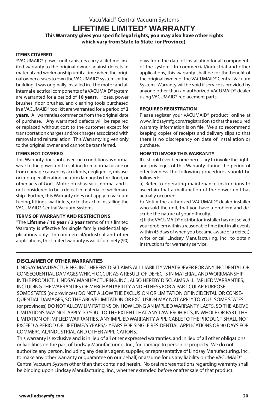VacuMaid® Central Vacuum Systems

#### **LIFETIME LIMITED\* WARRANTY**

**This Warranty gives you specific legal rights, you may also have other rights which vary from State to State (or Province).**

#### **ITEMS COVERED**

\*VACUMAID® power unit canisters carry a lifetime limited warranty to the original owner against defects in material and workmanship until a time when the original owner ceases to own the VACUMAID® system, or the building it was originally installed in. The motor and all internal electrical components of a VACUMAID® system are warranted for a period of **10 years**. Hoses, power brushes, floor brushes, and cleaning tools purchased in a VACUMAID® tool kit are warranted for a period of **2 years**. All warranties commence from the original date of purchase. Any warranted defects will be repaired or replaced without cost to the customer except for transportation charges and/or charges associated with removal and reinstallation. This Warranty is given only to the original owner and cannot be transferred.

#### **ITEMS NOT COVERED**

This Warranty does not cover such conditions as normal wear to the power unit resulting from normal usage or from damage caused by accidents, negligence, misuse, or improper alteration, or from damage by fire, flood, or other acts of God. Motor brush wear is normal and is not considered to be a defect in material or workmanship. Further, this Warranty does not apply to vacuum tubing, fittings, wall inlets, or to the act of installing the VACUMAID® Central Vacuum Systems.

#### **TERMS OF WARRANTY AND RESTRICTIONS**

\*The **Lifetime / 10 year / 2 year** terms of this limited Warranty is effective for single family residential applications only. In commercial/industrial and other applications, this limited warranty is valid for ninety (90) days from the date of installation for all components of the system. In commercial/industrial and other applications, this warranty shall be for the benefit of the original owner of the VACUMAID® Central Vacuum System. Warranty will be void if service is provided by anyone other than an authorized VACUMAID® dealer using VACUMAID® replacement parts.

#### **REQUIRED REGISTRATION**

Please register your VACUMAID® product online at www.lindsaymfg.com/registration so that the required warranty information is on file. We also recommend keeping copies of receipts and delivery slips so that there is no discrepancy on date of installation or purchase.

#### **HOW TO INVOKE THIS WARRANTY**

If it should ever become necessary to invoke the rights and privileges of this Warranty during the period of effectiveness the following procedures should be followed:

a) Refer to operating maintenance instructions to ascertain that a malfunction of the power unit has actually occurred.

b) Notify the authorized VACUMAID® dealer-installer who sold the unit, that you have a problem and describe the nature of your difficulty.

c) If the VACUMAID® distributor-installer has not solved your problem within a reasonable time (but in all events within 45 days of when you became aware of a defect), write or call Lindsay Manufacturing, Inc., to obtain instructions for warranty service.

#### **DISCLAIMER OF OTHER WARRANTIES**

LINDSAY MANUFACTURING, INC., HEREBY DISCLAIMS ALL LIABILITY WHATSOEVER FOR ANY INCIDENTAL OR CONSEQUENTIAL DAMAGES WHICH OCCUR AS A RESULT OF DEFECTS IN MATERIAL AND WORKMANSHIP IN THE PRODUCT. LINDSAY MANUFACTURING, INC., ALSO HEREBY DISCLAIMS ALL IMPLIED WARRANTIES, INCLUDING THE WARRANTIES OF MERCHANTABILITY AND FITNESS FOR A PARTICULAR PURPOSE. SOME STATES (or provinces) DO NOT ALLOW THE EXCLUSION OR LIMITATION OF INCIDENTAL OR CONSE-QUENTIAL DAMAGES, SO THE ABOVE LIMITATION OR EXCLUSION MAY NOT APPLY TO YOU. SOME STATES (or provinces) DO NOT ALLOW LIMITATIONS ON HOW LONG AN IMPLIED WARRANTY LASTS, SO THE ABOVE LIMITATIONS MAY NOT APPLY TO YOU. TO THE EXTENT THAT ANY LAW PROHIBITS, IN WHOLE OR PART, THE LIMITATION OF IMPLIED WARRANTIES, ANY IMPLIED WARRANTY APPLICABLE TO THE PRODUCT SHALL NOT EXCEED A PERIOD OF LIFETIME/5 YEARS/2 YEARS FOR SINGLE RESIDENTIAL APPLICATIONS OR 90 DAYS FOR COMMERCIAL/INDUSTRIAL AND OTHER APPLICATIONS.

This warranty is exclusive and is in lieu of all other expressed warranties, and in lieu of all other obligations or liabilities on the part of Lindsay Manufacturing, Inc., for damage to person or property. We do not authorize any person, including any dealer, agent, supplier, or representative of Lindsay Manufacturing, Inc., to make any other warranty or guarantee on our behalf, or assume for us any liability on the VACUMAID<sup>®</sup> Central Vacuum System other than that contained herein. No oral representations regarding warranty shall be binding upon Lindsay Manufacturing, Inc., whether extended before or after sale of that product.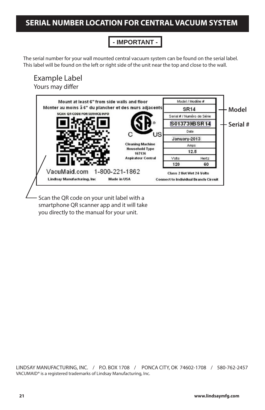## **SERIAL NUMBER LOCATION FOR CENTRAL VACUUM SYSTEM**

### **- IMPORTANT -**

The serial number for your wall mounted central vacuum system can be found on the serial label. This label will be found on the left or right side of the unit near the top and close to the wall.

#### Example Label Yours may differ



Scan the QR code on your unit label with a smartphone QR scanner app and it will take you directly to the manual for your unit.

LINDSAY MANUFACTURING, INC. / P.O. BOX 1708 / PONCA CITY, OK 74602-1708 / 580-762-2457 VACUMAID® is a registered trademarks of Lindsay Manufacturing, Inc.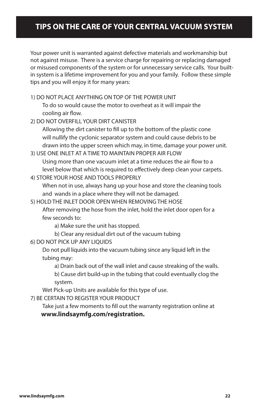## **TIPS ON THE CARE OF YOUR CENTRAL VACUUM SYSTEM**

Your power unit is warranted against defective materials and workmanship but not against misuse. There is a service charge for repairing or replacing damaged or misused components of the system or for unnecessary service calls. Your builtin system is a lifetime improvement for you and your family. Follow these simple tips and you will enjoy it for many years:

1) DO NOT PLACE ANYTHING ON TOP OF THE POWER UNIT

To do so would cause the motor to overheat as it will impair the cooling air flow.

2) DO NOT OVERFILL YOUR DIRT CANISTER

Allowing the dirt canister to fill up to the bottom of the plastic cone will nullify the cyclonic separator system and could cause debris to be drawn into the upper screen which may, in time, damage your power unit.

- 3) USE ONE INLET AT A TIME TO MAINTAIN PROPER AIR FLOW Using more than one vacuum inlet at a time reduces the air flow to a level below that which is required to effectively deep clean your carpets.
- 4) STORE YOUR HOSE AND TOOLS PROPERLY

When not in use, always hang up your hose and store the cleaning tools and wands in a place where they will not be damaged.

5) HOLD THE INLET DOOR OPEN WHEN REMOVING THE HOSE

After removing the hose from the inlet, hold the inlet door open for a few seconds to:

a) Make sure the unit has stopped.

b) Clear any residual dirt out of the vacuum tubing

6) DO NOT PICK UP ANY LIQUIDS

Do not pull liquids into the vacuum tubing since any liquid left in the tubing may:

a) Drain back out of the wall inlet and cause streaking of the walls.

 b) Cause dirt build-up in the tubing that could eventually clog the system.

Wet Pick-up Units are available for this type of use.

7) BE CERTAIN TO REGISTER YOUR PRODUCT

Take just a few moments to fill out the warranty registration online at  **www.lindsaymfg.com/registration.**